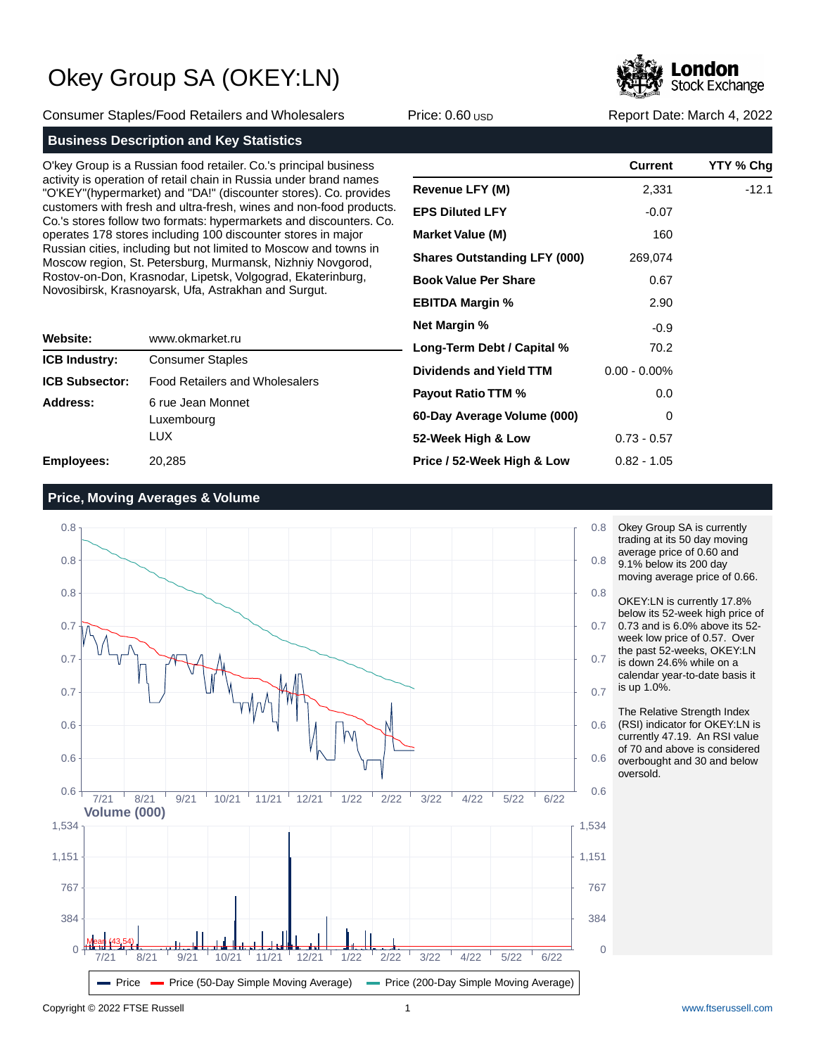**Stock Exchange** 

Consumer Staples/Food Retailers and Wholesalers **Price: 0.60 USD Report Date: March 4, 2022** Report Date: March 4, 2022

## **Business Description and Key Statistics**

O'key Group is a Russian food retailer. Co.'s principal business activity is operation of retail chain in Russia under brand names "O'KEY"(hypermarket) and "DA!" (discounter stores). Co. provides customers with fresh and ultra-fresh, wines and non-food products. Co.'s stores follow two formats: hypermarkets and discounters. Co. operates 178 stores including 100 discounter stores in major Russian cities, including but not limited to Moscow and towns in Moscow region, St. Petersburg, Murmansk, Nizhniy Novgorod, Rostov-on-Don, Krasnodar, Lipetsk, Volgograd, Ekaterinburg, Novosibirsk, Krasnoyarsk, Ufa, Astrakhan and Surgut.

| Website:              | www.okmarket.ru                         |  |  |  |
|-----------------------|-----------------------------------------|--|--|--|
| <b>ICB Industry:</b>  | <b>Consumer Staples</b>                 |  |  |  |
| <b>ICB Subsector:</b> | <b>Food Retailers and Wholesalers</b>   |  |  |  |
| Address:              | 6 rue Jean Monnet<br>Luxembourg<br>LUX. |  |  |  |
| <b>Employees:</b>     | 20,285                                  |  |  |  |

|                                     | <b>Current</b>  | YTY % Chg |
|-------------------------------------|-----------------|-----------|
| <b>Revenue LFY (M)</b>              | 2,331           | $-12.1$   |
| <b>EPS Diluted LFY</b>              | $-0.07$         |           |
| <b>Market Value (M)</b>             | 160             |           |
| <b>Shares Outstanding LFY (000)</b> | 269,074         |           |
| <b>Book Value Per Share</b>         | 0.67            |           |
| <b>EBITDA Margin %</b>              | 2.90            |           |
| <b>Net Margin %</b>                 | $-0.9$          |           |
| Long-Term Debt / Capital %          | 70.2            |           |
| Dividends and Yield TTM             | $0.00 - 0.00\%$ |           |
| <b>Payout Ratio TTM %</b>           | 0.0             |           |
| 60-Day Average Volume (000)         | 0               |           |
| 52-Week High & Low                  | $0.73 - 0.57$   |           |
| Price / 52-Week High & Low          | $0.82 - 1.05$   |           |

## **Price, Moving Averages & Volume**



Okey Group SA is currently trading at its 50 day moving average price of 0.60 and 9.1% below its 200 day

moving average price of 0.66. OKEY:LN is currently 17.8%

below its 52-week high price of 0.73 and is 6.0% above its 52 week low price of 0.57. Over the past 52-weeks, OKEY:LN is down 24.6% while on a

calendar year-to-date basis it is up 1.0%.

The Relative Strength Index (RSI) indicator for OKEY:LN is currently 47.19. An RSI value of 70 and above is considered overbought and 30 and below oversold.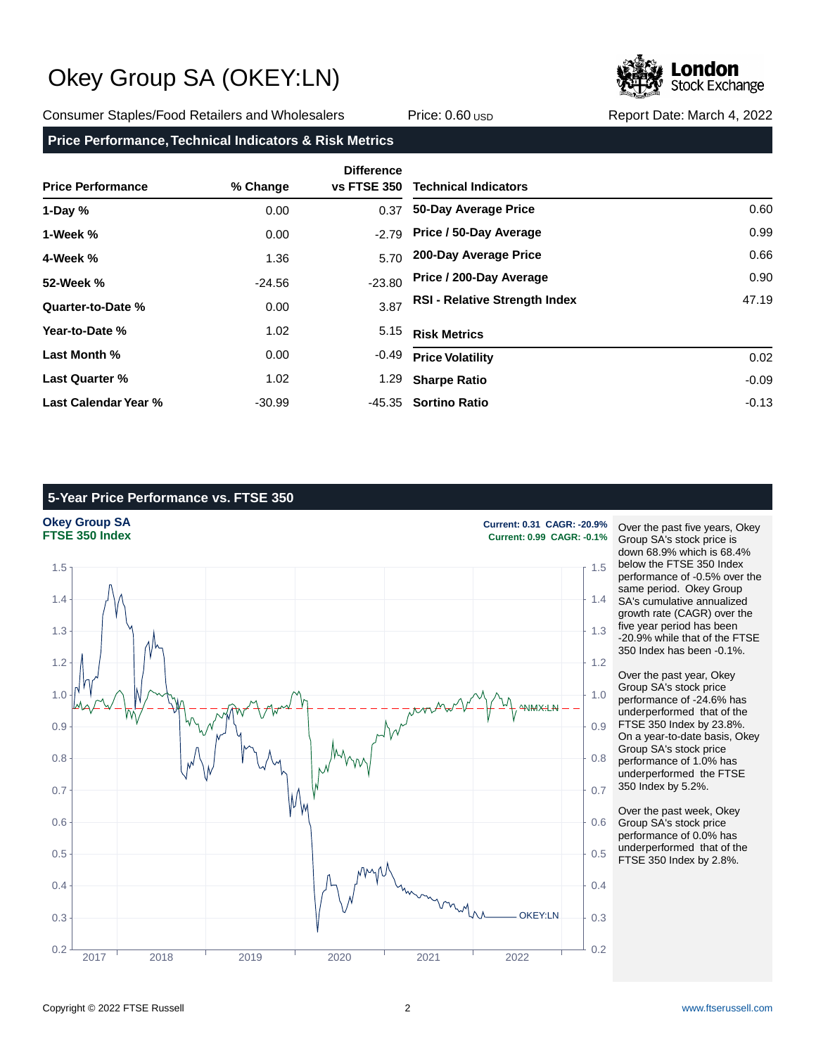

Consumer Staples/Food Retailers and Wholesalers **Price: 0.60 USD Report Date: March 4, 2022** Report Date: March 4, 2022

## **Price Performance, Technical Indicators & Risk Metrics**

| <b>Price Performance</b> | % Change | <b>Difference</b><br><b>vs FTSE 350</b> | <b>Technical Indicators</b>          |         |
|--------------------------|----------|-----------------------------------------|--------------------------------------|---------|
| 1-Day $%$                | 0.00     | 0.37                                    | 50-Day Average Price                 | 0.60    |
| 1-Week %                 | 0.00     | $-2.79$                                 | Price / 50-Day Average               | 0.99    |
| 4-Week %                 | 1.36     | 5.70                                    | 200-Day Average Price                | 0.66    |
| 52-Week %                | $-24.56$ | $-23.80$                                | Price / 200-Day Average              | 0.90    |
| Quarter-to-Date %        | 0.00     | 3.87                                    | <b>RSI - Relative Strength Index</b> | 47.19   |
| Year-to-Date %           | 1.02     | 5.15                                    | <b>Risk Metrics</b>                  |         |
| Last Month %             | 0.00     | $-0.49$                                 | <b>Price Volatility</b>              | 0.02    |
| <b>Last Quarter %</b>    | 1.02     | 1.29                                    | <b>Sharpe Ratio</b>                  | $-0.09$ |
| Last Calendar Year %     | $-30.99$ | -45.35                                  | <b>Sortino Ratio</b>                 | $-0.13$ |

## **5-Year Price Performance vs. FTSE 350**



Over the past five years, Okey Group SA's stock price is down 68.9% which is 68.4% below the FTSE 350 Index performance of -0.5% over the same period. Okey Group SA's cumulative annualized growth rate (CAGR) over the five year period has been -20.9% while that of the FTSE 350 Index has been -0.1%.

Over the past year, Okey Group SA's stock price performance of -24.6% has underperformed that of the FTSE 350 Index by 23.8%. On a year-to-date basis, Okey Group SA's stock price performance of 1.0% has underperformed the FTSE 350 Index by 5.2%.

Over the past week, Okey Group SA's stock price performance of 0.0% has underperformed that of the FTSE 350 Index by 2.8%.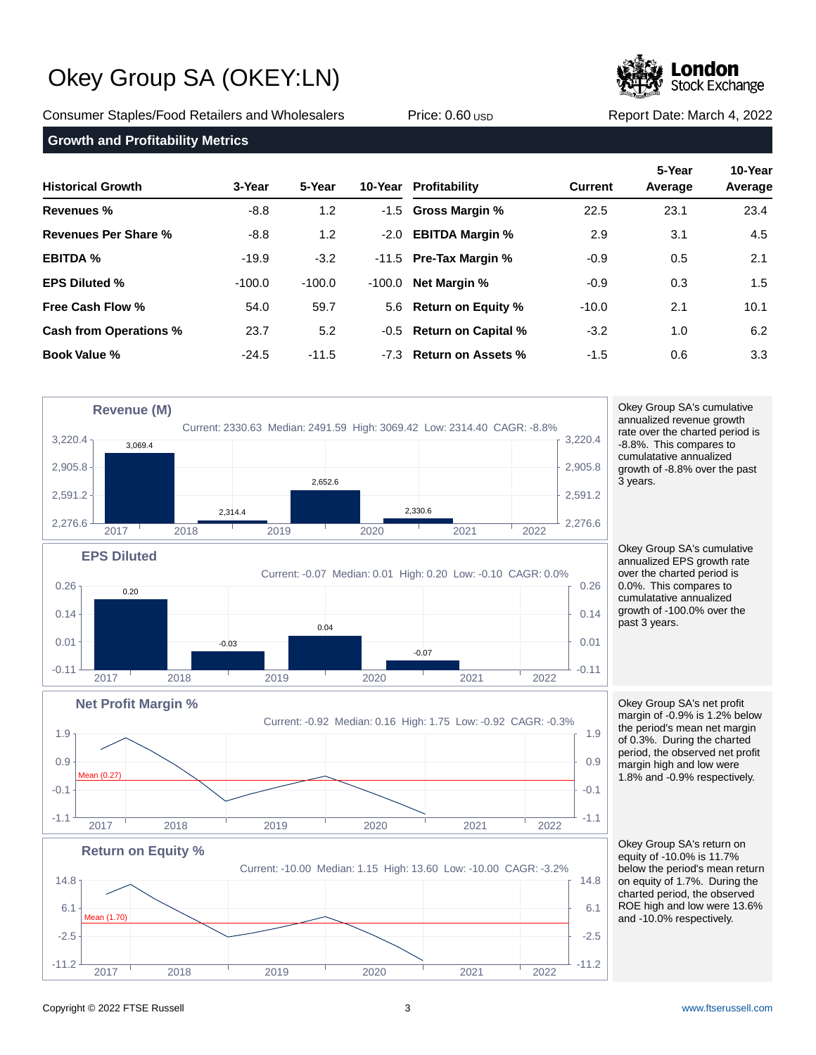**Stock Exchange** 

Consumer Staples/Food Retailers and Wholesalers **Price: 0.60 USD Report Date: March 4, 2022** Report Date: March 4, 2022

**Growth and Profitability Metrics**

| <b>Historical Growth</b>      | 3-Year   | 5-Year           |          | 10-Year Profitability    | <b>Current</b> | 5-Year<br>Average | 10-Year<br>Average |
|-------------------------------|----------|------------------|----------|--------------------------|----------------|-------------------|--------------------|
| Revenues %                    | $-8.8$   | 1.2 <sub>2</sub> |          | -1.5 Gross Margin %      | 22.5           | 23.1              | 23.4               |
| Revenues Per Share %          | $-8.8$   | 1.2              | $-2.0$   | <b>EBITDA Margin %</b>   | 2.9            | 3.1               | 4.5                |
| <b>EBITDA %</b>               | $-19.9$  | $-3.2$           |          | $-11.5$ Pre-Tax Margin % | $-0.9$         | 0.5               | 2.1                |
| <b>EPS Diluted %</b>          | $-100.0$ | $-100.0$         | $-100.0$ | <b>Net Margin %</b>      | $-0.9$         | 0.3               | 1.5                |
| <b>Free Cash Flow %</b>       | 54.0     | 59.7             |          | 5.6 Return on Equity %   | $-10.0$        | 2.1               | 10.1               |
| <b>Cash from Operations %</b> | 23.7     | 5.2              |          | -0.5 Return on Capital % | $-3.2$         | 1.0               | 6.2                |
| <b>Book Value %</b>           | $-24.5$  | $-11.5$          |          | -7.3 Return on Assets %  | $-1.5$         | 0.6               | 3.3 <sub>1</sub>   |

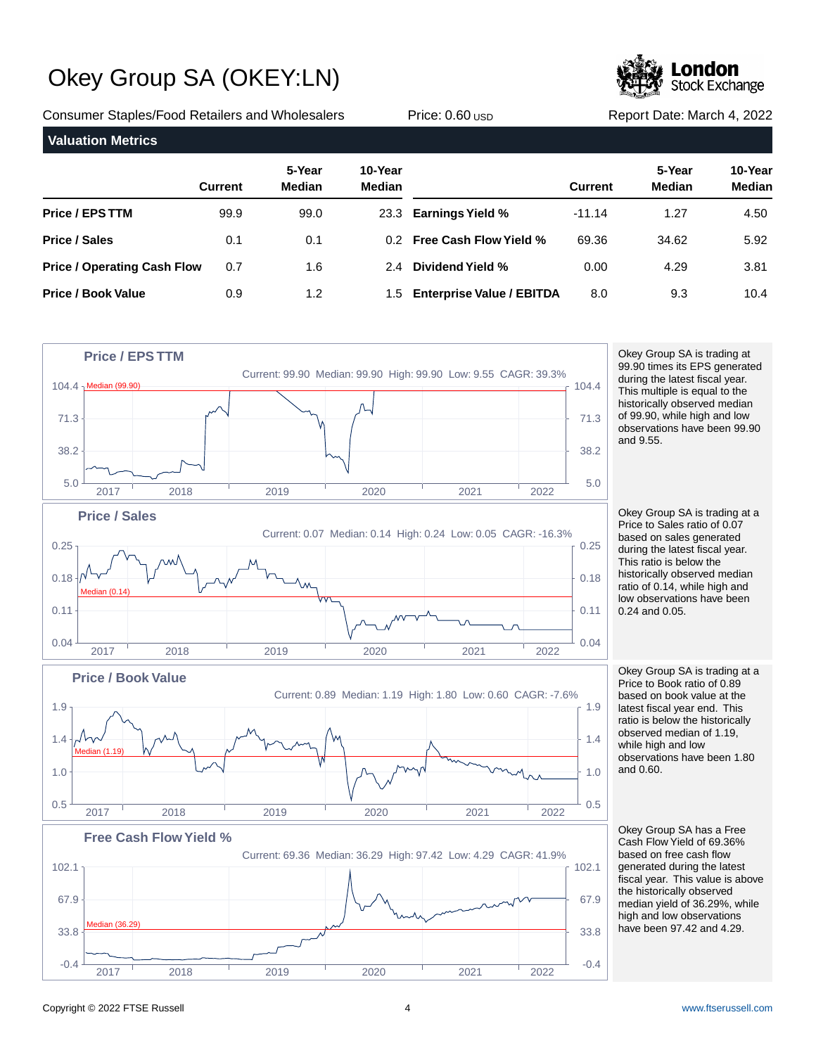**Stock Exchange** 

Consumer Staples/Food Retailers and Wholesalers **Price: 0.60 USD Report Date: March 4, 2022** Report Date: March 4, 2022

| <b>Valuation Metrics</b>           |                |                         |                          |                                  |                |                         |                          |
|------------------------------------|----------------|-------------------------|--------------------------|----------------------------------|----------------|-------------------------|--------------------------|
|                                    | <b>Current</b> | 5-Year<br><b>Median</b> | 10-Year<br><b>Median</b> |                                  | <b>Current</b> | 5-Year<br><b>Median</b> | 10-Year<br><b>Median</b> |
| <b>Price / EPS TTM</b>             | 99.9           | 99.0                    |                          | 23.3 Earnings Yield %            | $-11.14$       | 1.27                    | 4.50                     |
| <b>Price / Sales</b>               | 0.1            | 0.1                     | 0.2                      | <b>Free Cash Flow Yield %</b>    | 69.36          | 34.62                   | 5.92                     |
| <b>Price / Operating Cash Flow</b> | 0.7            | 1.6                     | 2.4                      | Dividend Yield %                 | 0.00           | 4.29                    | 3.81                     |
| <b>Price / Book Value</b>          | 0.9            | 1.2                     | 1.5                      | <b>Enterprise Value / EBITDA</b> | 8.0            | 9.3                     | 10.4                     |



Okey Group SA is trading at 99.90 times its EPS generated during the latest fiscal year. This multiple is equal to the historically observed median of 99.90, while high and low observations have been 99.90 and 9.55.

Okey Group SA is trading at a Price to Sales ratio of 0.07 based on sales generated during the latest fiscal year. This ratio is below the historically observed median ratio of 0.14, while high and low observations have been 0.24 and 0.05.

Okey Group SA is trading at a Price to Book ratio of 0.89 based on book value at the latest fiscal year end. This ratio is below the historically observed median of 1.19, while high and low observations have been 1.80 and 0.60.

Okey Group SA has a Free Cash Flow Yield of 69.36% based on free cash flow generated during the latest fiscal year. This value is above the historically observed median yield of 36.29%, while high and low observations have been 97.42 and 4.29.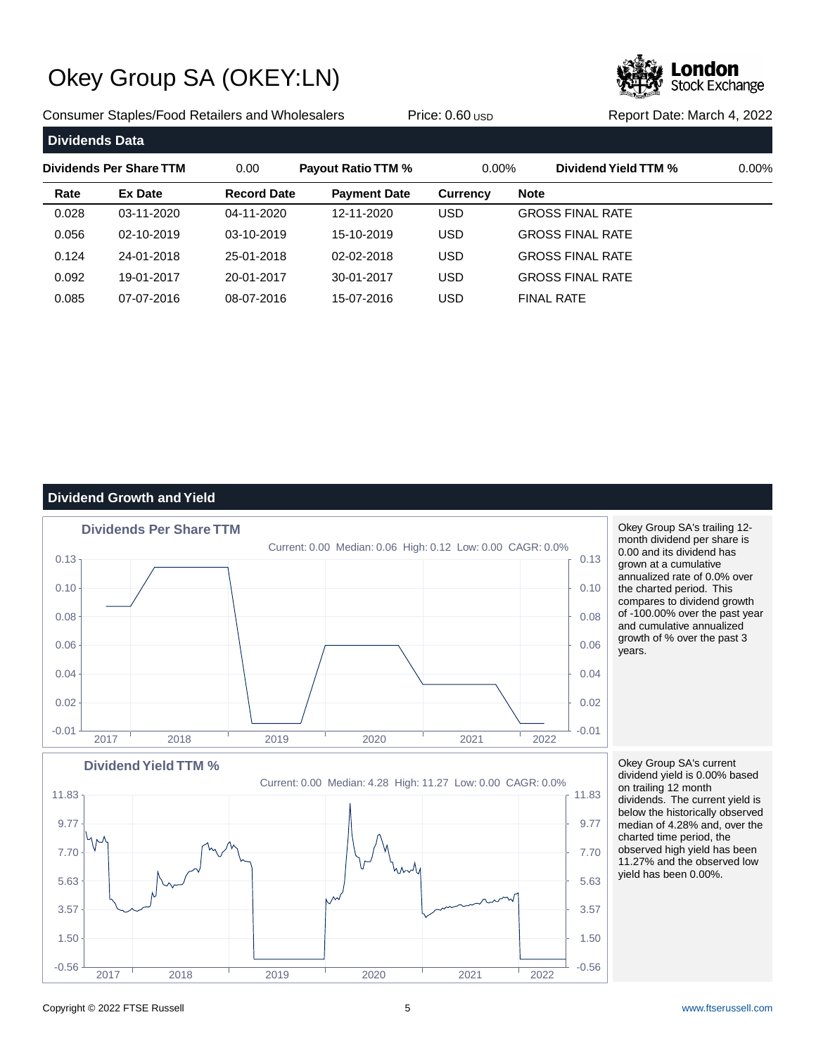

Consumer Staples/Food Retailers and Wholesalers **Price: 0.60 USD Report Date: March 4, 2022** Report Date: March 4, 2022

| <b>Dividends Data</b> |                         |                    |                           |                 |                         |          |
|-----------------------|-------------------------|--------------------|---------------------------|-----------------|-------------------------|----------|
|                       | Dividends Per Share TTM | 0.00               | <b>Payout Ratio TTM %</b> | $0.00\%$        | Dividend Yield TTM %    | $0.00\%$ |
| Rate                  | Ex Date                 | <b>Record Date</b> | <b>Payment Date</b>       | <b>Currency</b> | <b>Note</b>             |          |
| 0.028                 | 03-11-2020              | 04-11-2020         | 12-11-2020                | USD             | <b>GROSS FINAL RATE</b> |          |
| 0.056                 | 02-10-2019              | 03-10-2019         | 15-10-2019                | USD             | <b>GROSS FINAL RATE</b> |          |
| 0.124                 | 24-01-2018              | 25-01-2018         | 02-02-2018                | USD             | <b>GROSS FINAL RATE</b> |          |
| 0.092                 | 19-01-2017              | 20-01-2017         | 30-01-2017                | USD             | <b>GROSS FINAL RATE</b> |          |
| 0.085                 | 07-07-2016              | 08-07-2016         | 15-07-2016                | USD             | <b>FINAL RATE</b>       |          |

## **Dividend Growth and Yield**



Copyright © 2022 FTSE Russell 5 [www.ftserussell.com](http://www.ftserussell.com)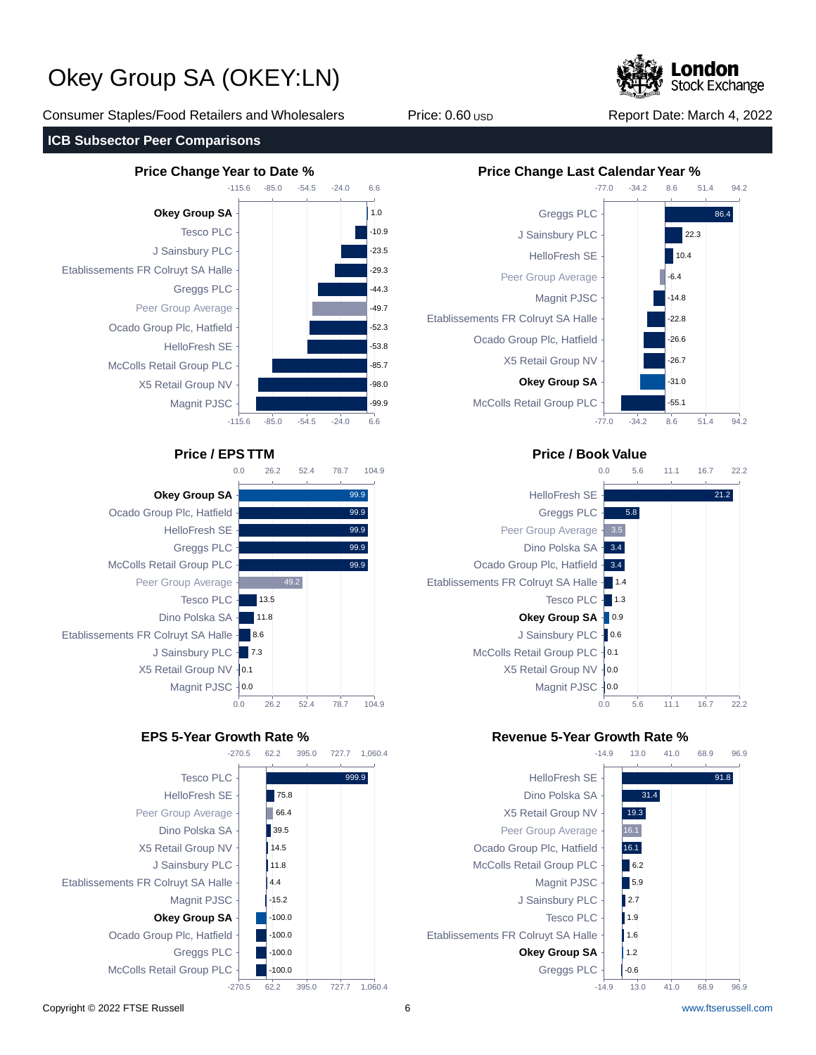**Stock Exchange** 

Consumer Staples/Food Retailers and Wholesalers **Price: 0.60 USD Report Date: March 4, 2022** Report Date: March 4, 2022

## **ICB Subsector Peer Comparisons**









## **Price / EPS TTM Price / Book Value**



## **EPS 5-Year Growth Rate % Revenue 5-Year Growth Rate %**

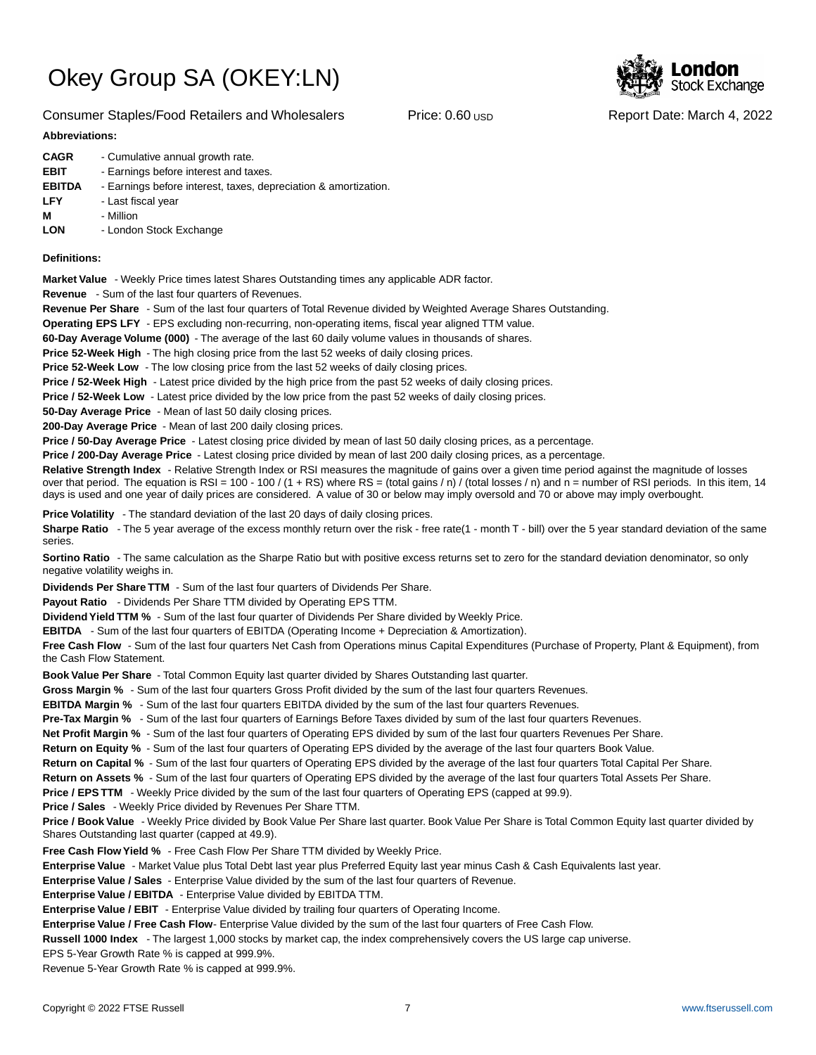

## **Abbreviations:**

| <b>CAGR</b>   | - Cumulative annual growth rate.                                |
|---------------|-----------------------------------------------------------------|
| <b>EBIT</b>   | - Earnings before interest and taxes.                           |
| <b>EBITDA</b> | - Earnings before interest, taxes, depreciation & amortization. |
| <b>LFY</b>    | - Last fiscal year                                              |
| м             | - Million                                                       |
| <b>LON</b>    | - London Stock Exchange                                         |
|               |                                                                 |

### **Definitions:**

**Market Value** - Weekly Price times latest Shares Outstanding times any applicable ADR factor.

**Revenue** - Sum of the last four quarters of Revenues.

**Revenue Per Share** - Sum of the last four quarters of Total Revenue divided by Weighted Average Shares Outstanding.

**Operating EPS LFY** - EPS excluding non-recurring, non-operating items, fiscal year aligned TTM value.

60-Day Average Volume (000) - The average of the last 60 daily volume values in thousands of shares.

**Price 52-Week High** - The high closing price from the last 52 weeks of daily closing prices.

**Price 52-Week Low** - The low closing price from the last 52 weeks of daily closing prices.

**Price / 52-Week High** - Latest price divided by the high price from the past 52 weeks of daily closing prices.

**Price / 52-Week Low** - Latest price divided by the low price from the past 52 weeks of daily closing prices.

**50-Day Average Price** - Mean of last 50 daily closing prices.

**200-Day Average Price** - Mean of last 200 daily closing prices.

Price / 50-Day Average Price - Latest closing price divided by mean of last 50 daily closing prices, as a percentage.

**Price / 200-Day Average Price** - Latest closing price divided by mean of last 200 daily closing prices, as a percentage.

Relative Strength Index - Relative Strength Index or RSI measures the magnitude of gains over a given time period against the magnitude of losses over that period. The equation is RSI = 100 - 100 / (1 + RS) where RS = (total gains / n) / (total losses / n) and n = number of RSI periods. In this item, 14 days is used and one year of daily prices are considered. A value of 30 or below may imply oversold and 70 or above may imply overbought.

**Price Volatility** - The standard deviation of the last 20 days of daily closing prices.

Sharpe Ratio - The 5 year average of the excess monthly return over the risk - free rate(1 - month T - bill) over the 5 year standard deviation of the same series.

**Sortino Ratio** - The same calculation as the Sharpe Ratio but with positive excess returns set to zero for the standard deviation denominator, so only negative volatility weighs in.

**Dividends Per Share TTM** - Sum of the last four quarters of Dividends Per Share.

Payout Ratio - Dividends Per Share TTM divided by Operating EPS TTM.

**Dividend Yield TTM %** - Sum of the last four quarter of Dividends Per Share divided by Weekly Price.

**EBITDA** - Sum of the last four quarters of EBITDA (Operating Income + Depreciation & Amortization).

**Free Cash Flow** - Sum of the last four quarters Net Cash from Operations minus Capital Expenditures (Purchase of Property, Plant & Equipment), from the Cash Flow Statement.

**Book Value Per Share** - Total Common Equity last quarter divided by Shares Outstanding last quarter.

**Gross Margin %** - Sum of the last four quarters Gross Profit divided by the sum of the last four quarters Revenues.

**EBITDA Margin %** - Sum of the last four quarters EBITDA divided by the sum of the last four quarters Revenues.

**Pre-Tax Margin %** - Sum of the last four quarters of Earnings Before Taxes divided by sum of the last four quarters Revenues.

**Net Profit Margin %** - Sum of the last four quarters of Operating EPS divided by sum of the last four quarters Revenues Per Share.

**Return on Equity %** - Sum of the last four quarters of Operating EPS divided by the average of the last four quarters Book Value.

**Return on Capital %** - Sum of the last four quarters of Operating EPS divided by the average of the last four quarters Total Capital Per Share.

**Return on Assets %** - Sum of the last four quarters of Operating EPS divided by the average of the last four quarters Total Assets Per Share.

**Price / EPS TTM** - Weekly Price divided by the sum of the last four quarters of Operating EPS (capped at 99.9).

**Price / Sales** - Weekly Price divided by Revenues Per Share TTM.

**Price / Book Value** - Weekly Price divided by Book Value Per Share last quarter. Book Value Per Share is Total Common Equity last quarter divided by Shares Outstanding last quarter (capped at 49.9).

**Free Cash Flow Yield %** - Free Cash Flow Per Share TTM divided by Weekly Price.

Enterprise Value - Market Value plus Total Debt last year plus Preferred Equity last year minus Cash & Cash Equivalents last year.

**Enterprise Value / Sales** - Enterprise Value divided by the sum of the last four quarters of Revenue.

**Enterprise Value / EBITDA** - Enterprise Value divided by EBITDA TTM.

**Enterprise Value / EBIT** - Enterprise Value divided by trailing four quarters of Operating Income.

Enterprise Value / Free Cash Flow- Enterprise Value divided by the sum of the last four quarters of Free Cash Flow.

**Russell 1000 Index** - The largest 1,000 stocks by market cap, the index comprehensively covers the US large cap universe.

EPS 5-Year Growth Rate % is capped at 999.9%.

Revenue 5-Year Growth Rate % is capped at 999.9%.